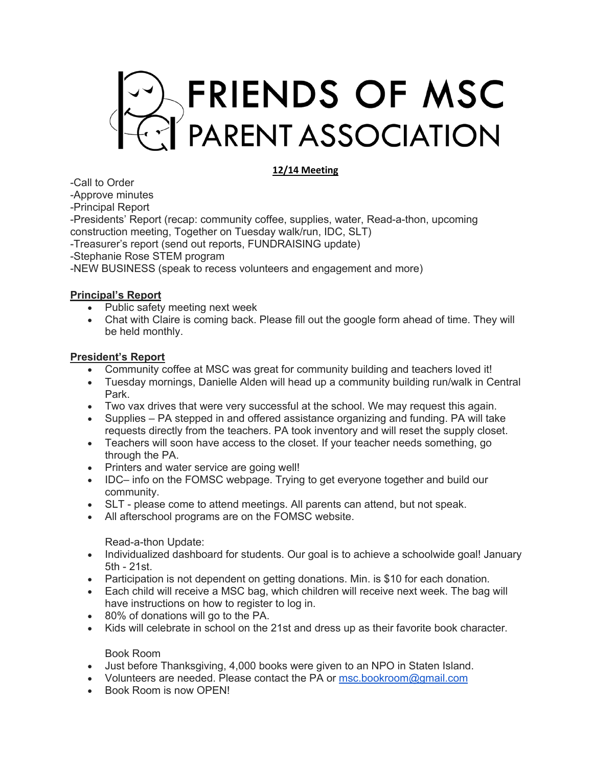

# **12/14 Meeting**

-Call to Order

-Approve minutes

-Principal Report

-Presidents' Report (recap: community coffee, supplies, water, Read-a-thon, upcoming construction meeting, Together on Tuesday walk/run, IDC, SLT)

-Treasurer's report (send out reports, FUNDRAISING update)

-Stephanie Rose STEM program

-NEW BUSINESS (speak to recess volunteers and engagement and more)

### **Principal's Report**

- Public safety meeting next week
- Chat with Claire is coming back. Please fill out the google form ahead of time. They will be held monthly.

### **President's Report**

- Community coffee at MSC was great for community building and teachers loved it!
- Tuesday mornings, Danielle Alden will head up a community building run/walk in Central Park.
- Two vax drives that were very successful at the school. We may request this again.
- Supplies PA stepped in and offered assistance organizing and funding. PA will take requests directly from the teachers. PA took inventory and will reset the supply closet.
- Teachers will soon have access to the closet. If your teacher needs something, go through the PA.
- Printers and water service are going well!
- IDC– info on the FOMSC webpage. Trying to get everyone together and build our community.
- SLT please come to attend meetings. All parents can attend, but not speak.
- All afterschool programs are on the FOMSC website.

#### Read-a-thon Update:

- Individualized dashboard for students. Our goal is to achieve a schoolwide goal! January 5th - 21st.
- Participation is not dependent on getting donations. Min. is \$10 for each donation.
- Each child will receive a MSC bag, which children will receive next week. The bag will have instructions on how to register to log in.
- 80% of donations will go to the PA.
- Kids will celebrate in school on the 21st and dress up as their favorite book character.

#### Book Room

- Just before Thanksgiving, 4,000 books were given to an NPO in Staten Island.
- Volunteers are needed. Please contact the PA or msc.bookroom@gmail.com
- Book Room is now OPEN!